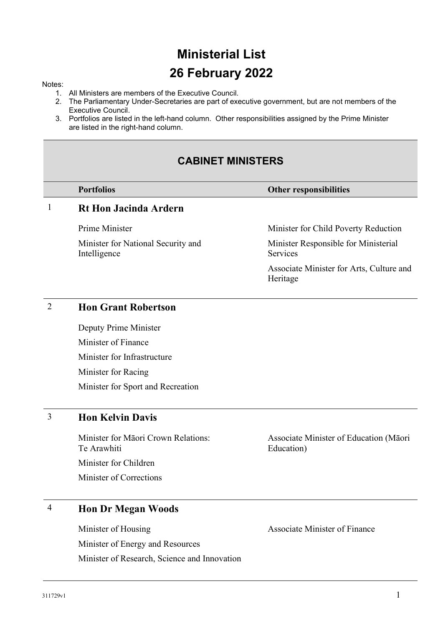# **Ministerial List 26 February 2022**

#### Notes:

- 1. All Ministers are members of the Executive Council.
- 2. The Parliamentary Under-Secretaries are part of executive government, but are not members of the Executive Council.
- 3. Portfolios are listed in the left-hand column. Other responsibilities assigned by the Prime Minister are listed in the right-hand column.

# **CABINET MINISTERS**

#### **Portfolios Other responsibilities**

# 1 **Rt Hon Jacinda Ardern**

Prime Minister

Minister for National Security and Intelligence

Minister for Child Poverty Reduction

Minister Responsible for Ministerial Services

Associate Minister for Arts, Culture and Heritage

#### 2 **Hon Grant Robertson**

Deputy Prime Minister Minister of Finance Minister for Infrastructure Minister for Racing Minister for Sport and Recreation

# 3 **Hon Kelvin Davis**

Minister for Māori Crown Relations: Te Arawhiti Minister for Children Minister of Corrections

Associate Minister of Education (Māori Education)

# 4 **Hon Dr Megan Woods**

Minister of Housing Minister of Energy and Resources Minister of Research, Science and Innovation Associate Minister of Finance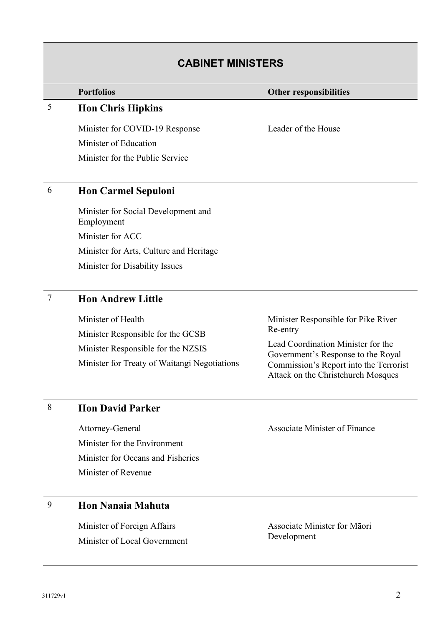# **CABINET MINISTERS**

#### **Portfolios Other responsibilities**

# 5 **Hon Chris Hipkins**

Minister for COVID-19 Response Minister of Education Minister for the Public Service

Leader of the House

# 6 **Hon Carmel Sepuloni**

Minister for Social Development and Employment Minister for ACC Minister for Arts, Culture and Heritage Minister for Disability Issues

# 7 **Hon Andrew Little**

Minister of Health Minister Responsible for the GCSB Minister Responsible for the NZSIS Minister for Treaty of Waitangi Negotiations Minister Responsible for Pike River Re-entry

Lead Coordination Minister for the Government's Response to the Royal Commission's Report into the Terrorist Attack on the Christchurch Mosques

#### 8 **Hon David Parker**

Attorney-General Minister for the Environment Minister for Oceans and Fisheries Minister of Revenue

# 9 **Hon Nanaia Mahuta**

Minister of Foreign Affairs Minister of Local Government Associate Minister of Finance

Associate Minister for Māori Development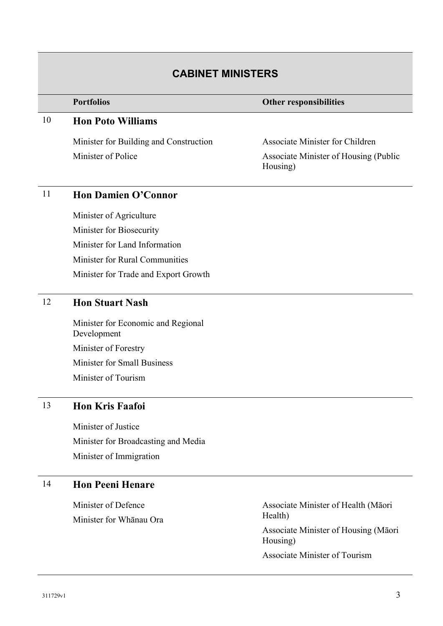# **CABINET MINISTERS**

#### **Portfolios Other responsibilities**

### 10 **Hon Poto Williams**

Minister for Building and Construction Minister of Police

Associate Minister for Children Associate Minister of Housing (Public Housing)

# 11 **Hon Damien O'Connor**

Minister of Agriculture Minister for Biosecurity Minister for Land Information Minister for Rural Communities Minister for Trade and Export Growth

### 12 **Hon Stuart Nash**

Minister for Economic and Regional Development Minister of Forestry Minister for Small Business Minister of Tourism

### 13 **Hon Kris Faafoi**

Minister of Justice Minister for Broadcasting and Media Minister of Immigration

# 14 **Hon Peeni Henare**

Minister of Defence Minister for Whānau Ora Associate Minister of Health (Māori Health) Associate Minister of Housing (Māori

Housing)

Associate Minister of Tourism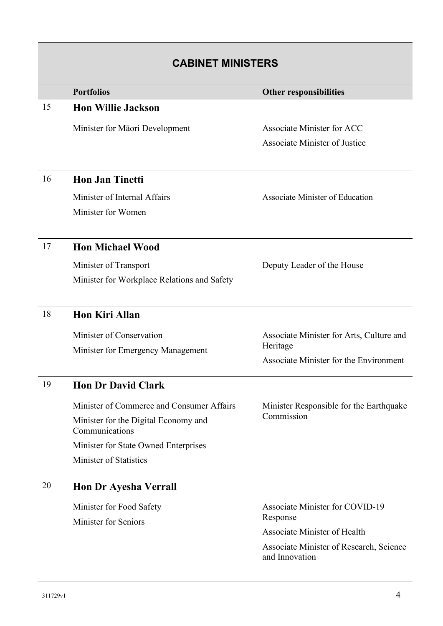| <b>CABINET MINISTERS</b> |                                                         |                                                       |
|--------------------------|---------------------------------------------------------|-------------------------------------------------------|
|                          | <b>Portfolios</b>                                       | <b>Other responsibilities</b>                         |
| 15                       | <b>Hon Willie Jackson</b>                               |                                                       |
|                          | Minister for Māori Development                          | Associate Minister for ACC                            |
|                          |                                                         | Associate Minister of Justice                         |
| 16                       | <b>Hon Jan Tinetti</b>                                  |                                                       |
|                          | Minister of Internal Affairs                            | Associate Minister of Education                       |
|                          | Minister for Women                                      |                                                       |
| 17                       | <b>Hon Michael Wood</b>                                 |                                                       |
|                          | Minister of Transport                                   | Deputy Leader of the House                            |
|                          | Minister for Workplace Relations and Safety             |                                                       |
| 18                       | <b>Hon Kiri Allan</b>                                   |                                                       |
|                          | Minister of Conservation                                | Associate Minister for Arts, Culture and              |
|                          | Minister for Emergency Management                       | Heritage                                              |
|                          |                                                         | Associate Minister for the Environment                |
| 19                       | <b>Hon Dr David Clark</b>                               |                                                       |
|                          | Minister of Commerce and Consumer Affairs               | Minister Responsible for the Earthquake<br>Commission |
|                          | Minister for the Digital Economy and<br>Communications  |                                                       |
|                          | Minister for State Owned Enterprises                    |                                                       |
|                          | Minister of Statistics                                  |                                                       |
| 20                       | <b>Hon Dr Ayesha Verrall</b>                            |                                                       |
|                          | Minister for Food Safety<br><b>Minister for Seniors</b> | <b>Associate Minister for COVID-19</b>                |
|                          |                                                         | Response<br>Associate Minister of Health              |
|                          |                                                         | Associate Minister of Research, Science               |
|                          |                                                         | and Innovation                                        |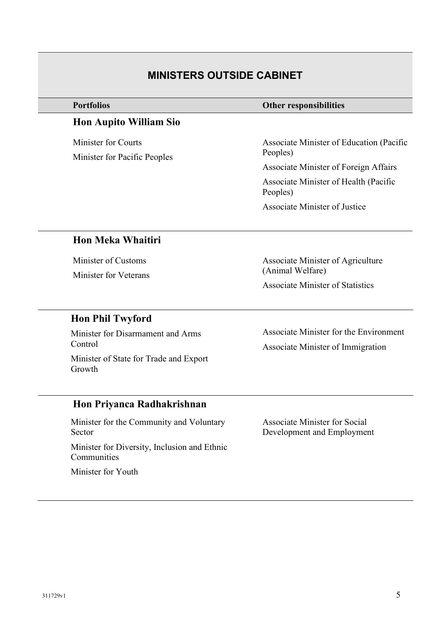# **MINISTERS OUTSIDE CABINET**

# **Hon Aupito William Sio**

Minister for Courts Minister for Pacific Peoples

#### **Other responsibilities**

Associate Minister of Education (Pacific Peoples)

Associate Minister of Foreign Affairs

Associate Minister of Health (Pacific Peoples)

Associate Minister of Justice

# **Hon Meka Whaitiri**

Minister of Customs

Minister for Veterans

Associate Minister of Agriculture (Animal Welfare)

Associate Minister of Statistics

# **Hon Phil Twyford**

Minister for Disarmament and Arms Control Minister of State for Trade and Export Growth

Associate Minister for the Environment Associate Minister of Immigration

# **Hon Priyanca Radhakrishnan**

Minister for the Community and Voluntary Sector

Minister for Diversity, Inclusion and Ethnic Communities

Minister for Youth

Associate Minister for Social Development and Employment